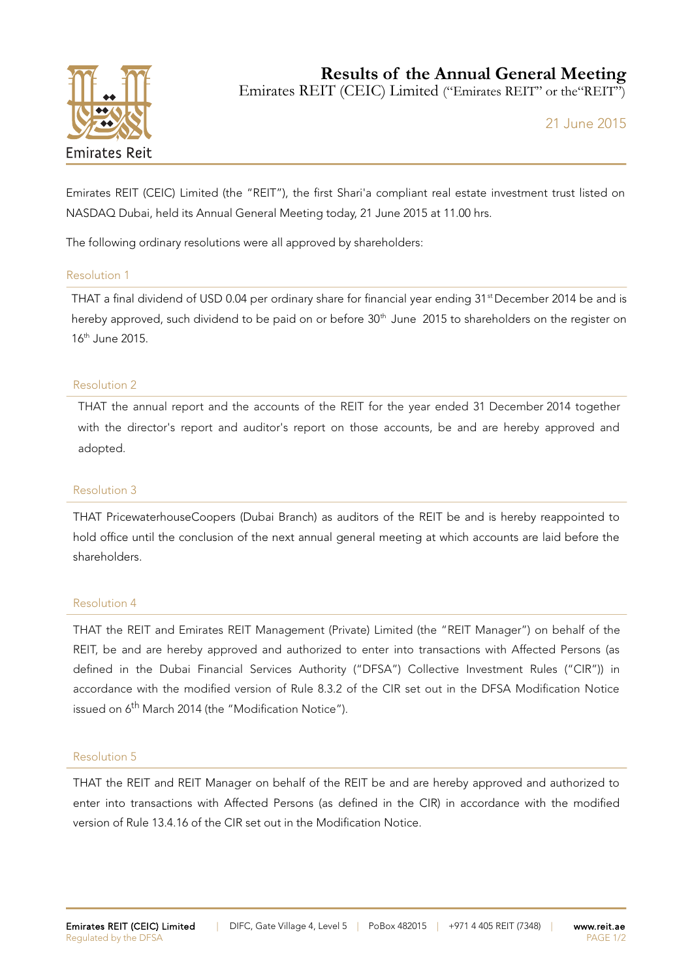

**Results of the Annual General Meeting**

Emirates REIT (CEIC) Limited ("Emirates REIT" or the"REIT")

21 June 2015

Emirates REIT (CEIC) Limited (the "REIT"), the first Shari'a compliant real estate investment trust listed on NASDAQ Dubai, held its Annual General Meeting today, 21 June 2015 at 11.00 hrs.

The following ordinary resolutions were all approved by shareholders:

# Resolution 1

THAT a final dividend of USD 0.04 per ordinary share for financial year ending 31<sup>st</sup> December 2014 be and is hereby approved, such dividend to be paid on or before 30<sup>th</sup> June 2015 to shareholders on the register on 16th June 2015.

# Resolution 2

THAT the annual report and the accounts of the REIT for the year ended 31 December 2014 together with the director's report and auditor's report on those accounts, be and are hereby approved and adopted.

### Resolution 3

THAT PricewaterhouseCoopers (Dubai Branch) as auditors of the REIT be and is hereby reappointed to hold office until the conclusion of the next annual general meeting at which accounts are laid before the shareholders.

#### Resolution 4

THAT the REIT and Emirates REIT Management (Private) Limited (the "REIT Manager") on behalf of the REIT, be and are hereby approved and authorized to enter into transactions with Affected Persons (as defined in the Dubai Financial Services Authority ("DFSA") Collective Investment Rules ("CIR")) in accordance with the modified version of Rule 8.3.2 of the CIR set out in the DFSA Modification Notice issued on 6<sup>th</sup> March 2014 (the "Modification Notice").

#### Resolution 5

THAT the REIT and REIT Manager on behalf of the REIT be and are hereby approved and authorized to enter into transactions with Affected Persons (as defined in the CIR) in accordance with the modified version of Rule 13.4.16 of the CIR set out in the Modification Notice.